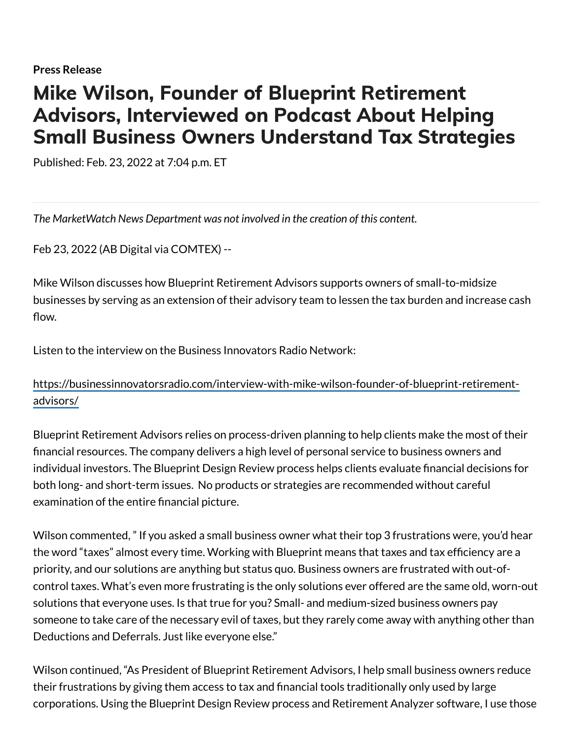## Mike Wilson, Founder of Blueprint Retirement Advisors, Interviewed on Podcast About Helping Small Business Owners Understand Tax Strategies

Published: Feb. 23, 2022 at 7:04 p.m. ET

*The MarketWatch News Department was not involved in the creation of this content.*

Feb 23, 2022 (AB Digital via COMTEX) --

Mike Wilson discusses how Blueprint Retirement Advisors supports owners of small-to-midsize businesses by serving as an extension of their advisory team to lessen the tax burden and increase cash flow.

Listen to the interview on the Business Innovators Radio Network:

[https://businessinnovatorsradio.com/interview-with-mike-wilson-founder-of-blueprint-retirement](https://businessinnovatorsradio.com/interview-with-mike-wilson-founder-of-blueprint-retirement-advisors/)advisors/

Blueprint Retirement Advisors relies on process-driven planning to help clients make the most of their financial resources. The company delivers a high level of personal service to business owners and individual investors. The Blueprint Design Review process helps clients evaluate financial decisions for both long- and short-term issues. No products or strategies are recommended without careful examination of the entire financial picture.

Wilson commented, " If you asked a small business owner what their top 3 frustrations were, you'd hear the word "taxes" almost every time. Working with Blueprint means that taxes and tax efficiency are a priority, and our solutions are anything but status quo. Business owners are frustrated with out-ofcontrol taxes. What's even more frustrating is the only solutions ever offered are the same old, worn-out solutions that everyone uses. Is that true for you? Small- and medium-sized business owners pay someone to take care of the necessary evil of taxes, but they rarely come away with anything other than Deductions and Deferrals. Just like everyone else."

Wilson continued, "As President of Blueprint Retirement Advisors, I help small business owners reduce their frustrations by giving them access to tax and financial tools traditionally only used by large corporations. Using the Blueprint Design Review process and Retirement Analyzer software, I use those